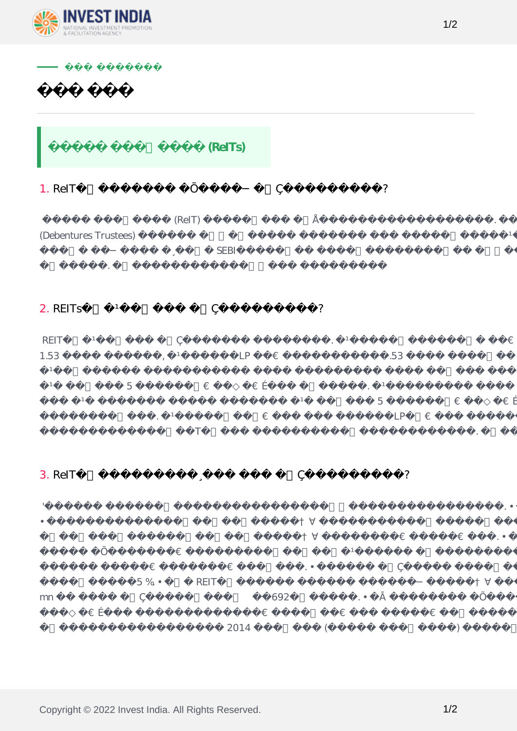

|                               |                                 | (Rell's)                                                                                    |                                                        |                                                              |                                                            |                                                      |
|-------------------------------|---------------------------------|---------------------------------------------------------------------------------------------|--------------------------------------------------------|--------------------------------------------------------------|------------------------------------------------------------|------------------------------------------------------|
|                               |                                 |                                                                                             |                                                        |                                                              |                                                            |                                                      |
| $1.$ ReIT                     |                                 |                                                                                             | $\ddot{?}$                                             |                                                              |                                                            |                                                      |
| $\, ,$                        | (ReIT)<br>(Debentures Trustees) | <b>SEBI</b><br>${\it SEBI}$                                                                 |                                                        |                                                              | 1993                                                       | <b>SEBI</b>                                          |
| 2. REITs                      |                                 |                                                                                             | $\boldsymbol{?}$                                       |                                                              |                                                            |                                                      |
| <b>REIT</b><br>$1.53\,$       | $\overline{\phantom{a}}$        | ${\rm LLP}$                                                                                 | $\$$ 1.53 $\,$                                         |                                                              |                                                            | $\mathsf S$                                          |
|                               | $\mathbf 5$<br><b>REIT</b>      |                                                                                             | $\overline{5}$<br>${\rm LLP}$                          |                                                              |                                                            | $\boldsymbol{2}$                                     |
| 3. ReIT                       |                                 |                                                                                             |                                                        | $\tilde{?}$                                                  |                                                            |                                                      |
| $\,$ $\,$<br>$\sqrt{2}$<br>mn | 1<br>$15\,\%$ $\bullet$         | Γ<br>$\sqrt{2}$<br>$\cdot$ $\bullet$<br>$\ddot{\phantom{1}}$<br><b>REIT</b><br>US \$307,692 | $\,1$<br>$\sqrt{2}$<br>$5\,\%$<br>$\ddot{\phantom{1}}$ | $\ddot{\phantom{1}}$<br>Γ<br>$\mathsf{I}$<br>$\cdot$ $\cdot$ | $\ddot{\phantom{0}}$<br>$\mathsf{I}$<br>$25\,\%$ $\bullet$ | ۰<br><b>REIT</b><br><b>US \$15.38</b><br>$\mathbf 5$ |
|                               |                                 | 2014<br>${\it SEBI}$ (                                                                      | $\boldsymbol{2}$                                       |                                                              | 4(d)<br>$\overline{4}$                                     |                                                      |